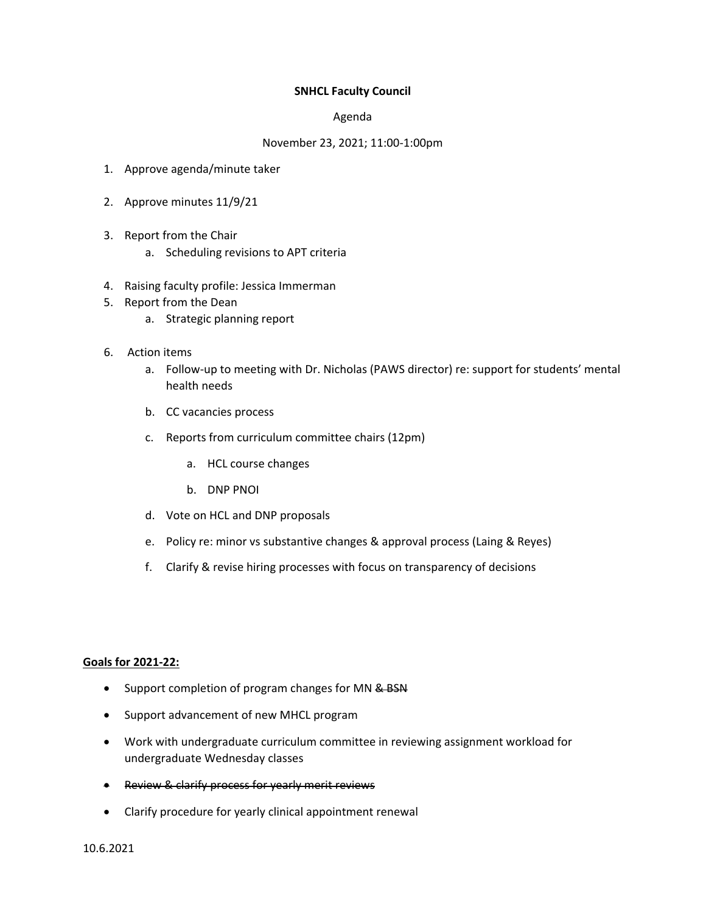## **SNHCL Faculty Council**

## Agenda

## November 23, 2021; 11:00-1:00pm

- 1. Approve agenda/minute taker
- 2. Approve minutes 11/9/21
- 3. Report from the Chair
	- a. Scheduling revisions to APT criteria
- 4. Raising faculty profile: Jessica Immerman
- 5. Report from the Dean
	- a. Strategic planning report
- 6. Action items
	- a. Follow-up to meeting with Dr. Nicholas (PAWS director) re: support for students' mental health needs
	- b. CC vacancies process
	- c. Reports from curriculum committee chairs (12pm)
		- a. HCL course changes
		- b. DNP PNOI
	- d. Vote on HCL and DNP proposals
	- e. Policy re: minor vs substantive changes & approval process (Laing & Reyes)
	- f. Clarify & revise hiring processes with focus on transparency of decisions

## **Goals for 2021-22:**

- Support completion of program changes for MN & BSN
- Support advancement of new MHCL program
- Work with undergraduate curriculum committee in reviewing assignment workload for undergraduate Wednesday classes
- Review & clarify process for yearly merit reviews
- Clarify procedure for yearly clinical appointment renewal